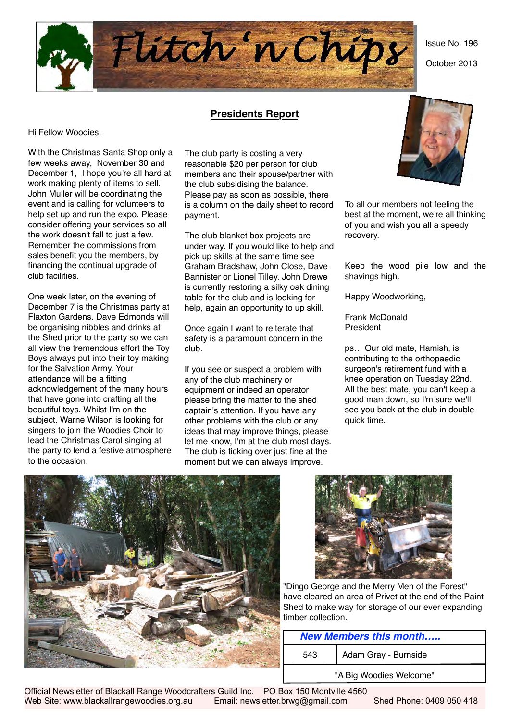Issue No. 196

October 2013



#### **Presidents Report**

Hi Fellow Woodies,

With the Christmas Santa Shop only a few weeks away, November 30 and December 1, I hope you're all hard at work making plenty of items to sell. John Muller will be coordinating the event and is calling for volunteers to help set up and run the expo. Please consider offering your services so all the work doesn't fall to just a few. Remember the commissions from sales benefit you the members, by financing the continual upgrade of club facilities.

One week later, on the evening of December 7 is the Christmas party at Flaxton Gardens. Dave Edmonds will be organising nibbles and drinks at the Shed prior to the party so we can all view the tremendous effort the Toy Boys always put into their toy making for the Salvation Army. Your attendance will be a fitting acknowledgement of the many hours that have gone into crafting all the beautiful toys. Whilst I'm on the subject, Warne Wilson is looking for singers to join the Woodies Choir to lead the Christmas Carol singing at the party to lend a festive atmosphere to the occasion.

The club party is costing a very reasonable \$20 per person for club members and their spouse/partner with the club subsidising the balance. Please pay as soon as possible, there is a column on the daily sheet to record payment.

The club blanket box projects are under way. If you would like to help and pick up skills at the same time see Graham Bradshaw, John Close, Dave Bannister or Lionel Tilley. John Drewe is currently restoring a silky oak dining table for the club and is looking for help, again an opportunity to up skill.

Once again I want to reiterate that safety is a paramount concern in the club.

If you see or suspect a problem with any of the club machinery or equipment or indeed an operator please bring the matter to the shed captain's attention. If you have any other problems with the club or any ideas that may improve things, please let me know, I'm at the club most days. The club is ticking over just fine at the moment but we can always improve.



To all our members not feeling the best at the moment, we're all thinking of you and wish you all a speedy recovery.

Keep the wood pile low and the shavings high.

Happy Woodworking,

Frank McDonald President

ps… Our old mate, Hamish, is contributing to the orthopaedic surgeon's retirement fund with a knee operation on Tuesday 22nd. All the best mate, you can't keep a good man down, so I'm sure we'll see you back at the club in double quick time.





"Dingo George and the Merry Men of the Forest" have cleared an area of Privet at the end of the Paint Shed to make way for storage of our ever expanding timber collection.

| <b>New Members this month</b> |                      |  |  |  |  |
|-------------------------------|----------------------|--|--|--|--|
| 543                           | Adam Gray - Burnside |  |  |  |  |
| "A Big Woodies Welcome"       |                      |  |  |  |  |

Official Newsletter of Blackall Range Woodcrafters Guild Inc. PO Box 150 Montville 4560 Web Site: www.blackallrangewoodies.org.au Email: newsletter.brwg@gmail.com Shed Phone: 0409 050 418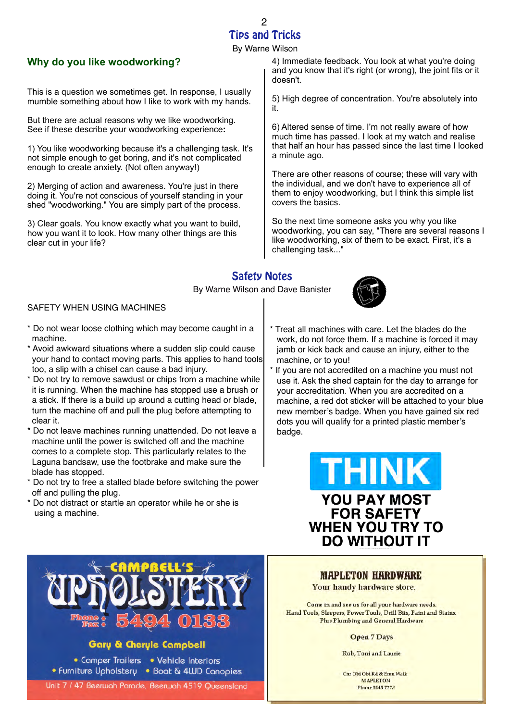#### Tips and Tricks  $\mathcal{Q}$

By Warne Wilson

#### **Why do you like woodworking?**

This is a question we sometimes get. In response, I usually mumble something about how I like to work with my hands.

But there are actual reasons why we like woodworking. See if these describe your woodworking experience**:**

1) You like woodworking because it's a challenging task. It's not simple enough to get boring, and it's not complicated enough to create anxiety. (Not often anyway!)

2) Merging of action and awareness. You're just in there doing it. You're not conscious of yourself standing in your shed "woodworking." You are simply part of the process.

3) Clear goals. You know exactly what you want to build, how you want it to look. How many other things are this clear cut in your life?

4) Immediate feedback. You look at what you're doing and you know that it's right (or wrong), the joint fits or it doesn't.

5) High degree of concentration. You're absolutely into it.

6) Altered sense of time. I'm not really aware of how much time has passed. I look at my watch and realise that half an hour has passed since the last time I looked a minute ago.

There are other reasons of course; these will vary with the individual, and we don't have to experience all of them to enjoy woodworking, but I think this simple list covers the basics.

So the next time someone asks you why you like woodworking, you can say, "There are several reasons I like woodworking, six of them to be exact. First, it's a challenging task..."

### Safety Notes

By Warne Wilson and Dave Banister



Treat all machines with care. Let the blades do the work, do not force them. If a machine is forced it may jamb or kick back and cause an injury, either to the

If you are not accredited on a machine you must not use it. Ask the shed captain for the day to arrange for your accreditation. When you are accredited on a

machine, or to you!

#### SAFETY WHEN USING MACHINES

- \* Do not wear loose clothing which may become caught in a machine.
- \* Avoid awkward situations where a sudden slip could cause your hand to contact moving parts. This applies to hand tools too, a slip with a chisel can cause a bad injury.
- \* Do not try to remove sawdust or chips from a machine while it is running. When the machine has stopped use a brush or a stick. If there is a build up around a cutting head or blade, turn the machine off and pull the plug before attempting to clear it.
- \* Do not leave machines running unattended. Do not leave a machine until the power is switched off and the machine comes to a complete stop. This particularly relates to the Laguna bandsaw, use the footbrake and make sure the blade has stopped.
- \* Do not try to free a stalled blade before switching the power off and pulling the plug.
- \* Do not distract or startle an operator while he or she is using a machine.







#### **Gary & Cheryle Campbell**

• Camper Trailers • Vehicle Interiors • Furniture Upholstery • Boat & 4WD Canopies

Unit 7 / 47 Beerwah Parade, Beerwah 4519 Queensland

**MAPLETON HARDWARE** 

Your handy hardware store.

Come in and see us for all your hardware needs. Hand Tools, Sleepers, Power Tools, Drill Bits, Paint and Stains. **Plus Plumbing and General Hardware** 

**Open 7 Days** 

Rob, Toni and Laurie

Cnr Obi Obi Rd & Emu Walk **MAPLETON Phone 5445 7773**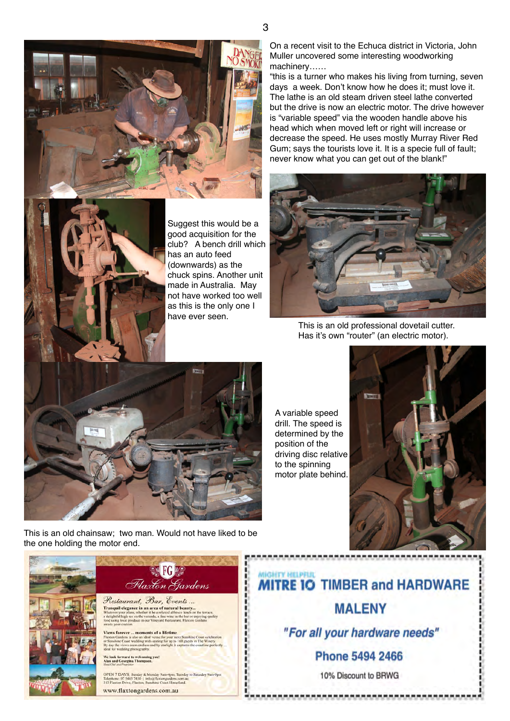



Suggest this would be a good acquisition for the club? A bench drill which has an auto feed (downwards) as the chuck spins. Another unit made in Australia. May not have worked too well as this is the only one I have ever seen.

On a recent visit to the Echuca district in Victoria, John Muller uncovered some interesting woodworking machinery……

"this is a turner who makes his living from turning, seven days a week. Don't know how he does it; must love it. The lathe is an old steam driven steel lathe converted but the drive is now an electric motor. The drive however is "variable speed" via the wooden handle above his head which when moved left or right will increase or decrease the speed. He uses mostly Murray River Red Gum; says the tourists love it. It is a specie full of fault; never know what you can get out of the blank!"



This is an old professional dovetail cutter. Has it's own "router" (an electric motor).



A variable speed drill. The speed is determined by the position of the driving disc relative to the spinning motor plate behind.



This is an old chainsaw; two man. Would not have liked to be the one holding the motor end.



Flaxton Gardens Restaurant, Bar, Events... **Tranquil elegance in an area of natural beauty...**<br>Vhatever your plans, whether it be a relaxed alfresco lunch on t rine in the bar or enjoyin<br>staurant. Flaxton Garde ts of a lifetime

.<br>Ve look forward to welcoming you!<br>Jan and Georgina Thompson.

OPEN 7 DAYS: Sunday & Monday 9am-4pm, Tuesday to Saturday 9am-9pm Telephone: 07 5445 7450 | info@flaxtongardens.com.au<br>313 Flaxton Drive, Flaxton, Sunshine Coast Hinterland. www.flaxtongardens.com.au

**MIGHTY MELPFUL MITRE IO TIMBER and HARDWARE MALENY** 

,,,,,,,,,,,,,,,,,,,,,,,,,

,,,,,,,,,,,,,,,,,,,,,,,,,,,,

"For all your hardware needs"

**Phone 5494 2466** 

10% Discount to BRWG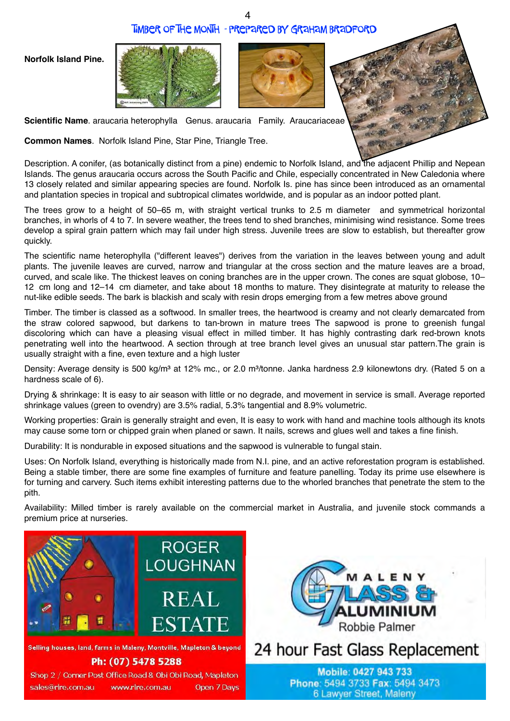#### Timber of the Month - prepared by Graham Bradford







**Scientific Name**. araucaria heterophylla Genus. araucaria Family. Araucariaceae

**Common Names**. Norfolk Island Pine, Star Pine, Triangle Tree.

Description. A conifer, (as botanically distinct from a pine) endemic to Norfolk Island, and the adjacent Phillip and Nepean Islands. The genus araucaria occurs across the South Pacific and Chile, especially concentrated in New Caledonia where 13 closely related and similar appearing species are found. Norfolk Is. pine has since been introduced as an ornamental and plantation species in tropical and subtropical climates worldwide, and is popular as an indoor potted plant.

The trees grow to a height of 50–65 m, with straight vertical trunks to 2.5 m diameter and symmetrical horizontal branches, in whorls of 4 to 7. In severe weather, the trees tend to shed branches, minimising wind resistance. Some trees develop a spiral grain pattern which may fail under high stress. Juvenile trees are slow to establish, but thereafter grow quickly.

The scientific name heterophylla ("different leaves") derives from the variation in the leaves between young and adult plants. The juvenile leaves are curved, narrow and triangular at the cross section and the mature leaves are a broad, curved, and scale like. The thickest leaves on coning branches are in the upper crown. The cones are squat globose, 10– 12 cm long and 12–14 cm diameter, and take about 18 months to mature. They disintegrate at maturity to release the nut-like edible seeds. The bark is blackish and scaly with resin drops emerging from a few metres above ground

Timber. The timber is classed as a softwood. In smaller trees, the heartwood is creamy and not clearly demarcated from the straw colored sapwood, but darkens to tan-brown in mature trees The sapwood is prone to greenish fungal discoloring which can have a pleasing visual effect in milled timber. It has highly contrasting dark red-brown knots penetrating well into the heartwood. A section through at tree branch level gives an unusual star pattern.The grain is usually straight with a fine, even texture and a high luster

Density: Average density is 500 kg/m<sup>3</sup> at 12% mc., or 2.0 m<sup>3</sup>/tonne. Janka hardness 2.9 kilonewtons dry. (Rated 5 on a hardness scale of 6).

Drying & shrinkage: It is easy to air season with little or no degrade, and movement in service is small. Average reported shrinkage values (green to ovendry) are 3.5% radial, 5.3% tangential and 8.9% volumetric.

Working properties: Grain is generally straight and even, It is easy to work with hand and machine tools although its knots may cause some torn or chipped grain when planed or sawn. It nails, screws and glues well and takes a fine finish.

Durability: It is nondurable in exposed situations and the sapwood is vulnerable to fungal stain.

Uses: On Norfolk Island, everything is historically made from N.I. pine, and an active reforestation program is established. Being a stable timber, there are some fine examples of furniture and feature panelling. Today its prime use elsewhere is for turning and carvery. Such items exhibit interesting patterns due to the whorled branches that penetrate the stem to the pith.

Availability: Milled timber is rarely available on the commercial market in Australia, and juvenile stock commands a premium price at nurseries.

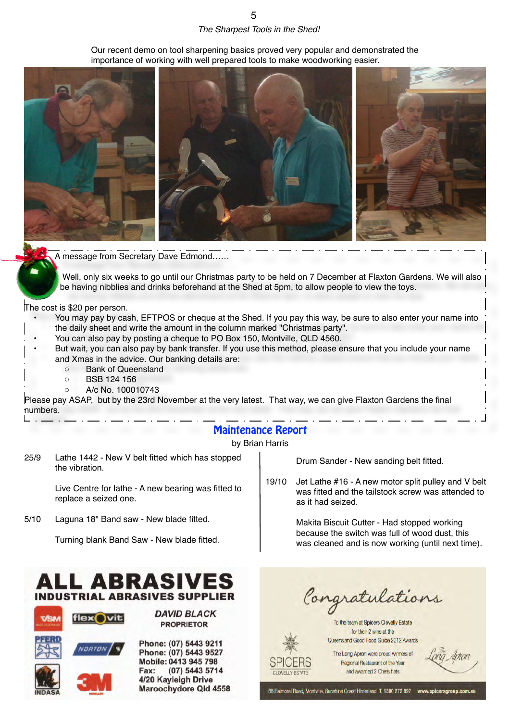## *The Sharpest Tools in the Shed!*

Our recent demo on tool sharpening basics proved very popular and demonstrated the



A message from Secretary Dave Edmond……

Well, only six weeks to go until our Christmas party to be held on 7 December at Flaxton Gardens. We will also be having nibblies and drinks beforehand at the Shed at 5pm, to allow people to view the toys.

The cost is \$20 per person.

- You may pay by cash, EFTPOS or cheque at the Shed. If you pay this way, be sure to also enter your name into the daily sheet and write the amount in the column marked "Christmas party".
- You can also pay by posting a cheque to PO Box 150, Montville, QLD 4560.
- But wait, you can also pay by bank transfer. If you use this method, please ensure that you include your name and Xmas in the advice. Our banking details are:
	- Bank of Queensland
	- BSB 124 156
	- A/c No. 100010743

Please pay ASAP, but by the 23rd November at the very latest. That way, we can give Flaxton Gardens the final numbers.

#### Maintenance Report

by Brian Harris

CLOVELLY ESTATE

25/9 Lathe 1442 - New V belt fitted which has stopped the vibration.

> Live Centre for lathe - A new bearing was fitted to replace a seized one.

5/10 Laguna 18" Band saw - New blade fitted.

Turning blank Band Saw - New blade fitted.

# **INDUSTRIAL ABRASIVES SUPPLIER**



**DAVID BLACK PROPRIETOR** 

Phone: (07) 5443 9211 Phone: (07) 5443 9527 Mobile: 0413 945 798 Fax: (07) 5443 5714 4/20 Kayleigh Drive Maroochydore Qld 4558 Drum Sander - New sanding belt fitted.

19/10 Jet Lathe #16 - A new motor split pulley and V belt was fitted and the tailstock screw was attended to as it had seized.

> Makita Biscuit Cutter - Had stopped working because the switch was full of wood dust, this was cleaned and is now working (until next time).

Congratulations

To the team at Spicers Clovelly Estate for their 2 wins at the

Queensland Good Food Guide 2012 Awards The Long Apron were proud winners of

Regional Restaurant of the Year and awarded 2 Chefs hats

68 Balmoral Road, Montville, Sunshine Coast Hinterland T. 1300 272 897 www.spicersg